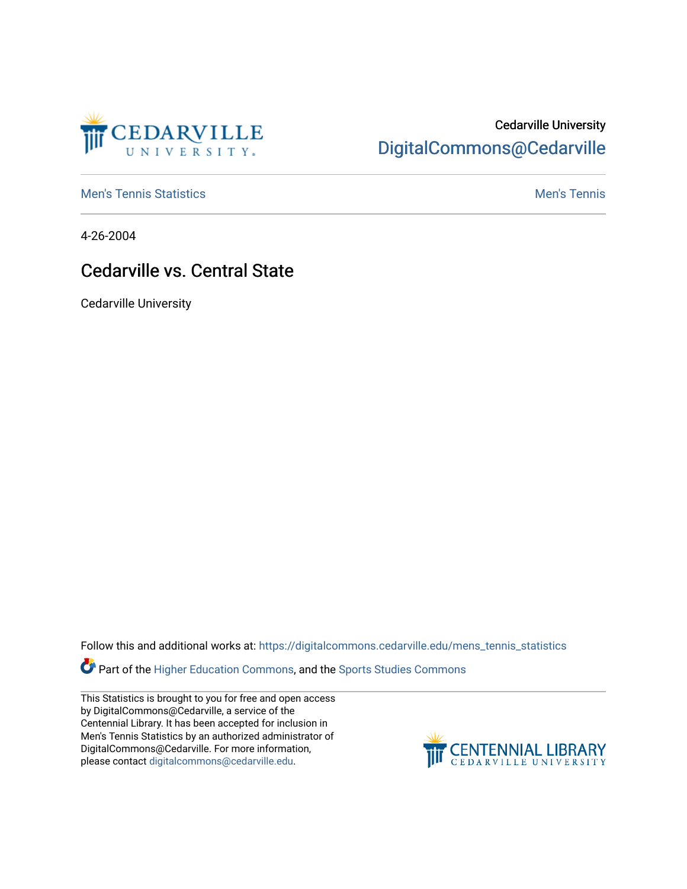

## Cedarville University [DigitalCommons@Cedarville](https://digitalcommons.cedarville.edu/)

**[Men's Tennis Statistics](https://digitalcommons.cedarville.edu/mens_tennis_statistics) Mental According to the Control of Control According Mental Men's Tennis** 

4-26-2004

## Cedarville vs. Central State

Cedarville University

Follow this and additional works at: [https://digitalcommons.cedarville.edu/mens\\_tennis\\_statistics](https://digitalcommons.cedarville.edu/mens_tennis_statistics?utm_source=digitalcommons.cedarville.edu%2Fmens_tennis_statistics%2F571&utm_medium=PDF&utm_campaign=PDFCoverPages)

Part of the [Higher Education Commons,](http://network.bepress.com/hgg/discipline/1245?utm_source=digitalcommons.cedarville.edu%2Fmens_tennis_statistics%2F571&utm_medium=PDF&utm_campaign=PDFCoverPages) and the Sports Studies Commons

This Statistics is brought to you for free and open access by DigitalCommons@Cedarville, a service of the Centennial Library. It has been accepted for inclusion in Men's Tennis Statistics by an authorized administrator of DigitalCommons@Cedarville. For more information, please contact [digitalcommons@cedarville.edu](mailto:digitalcommons@cedarville.edu).